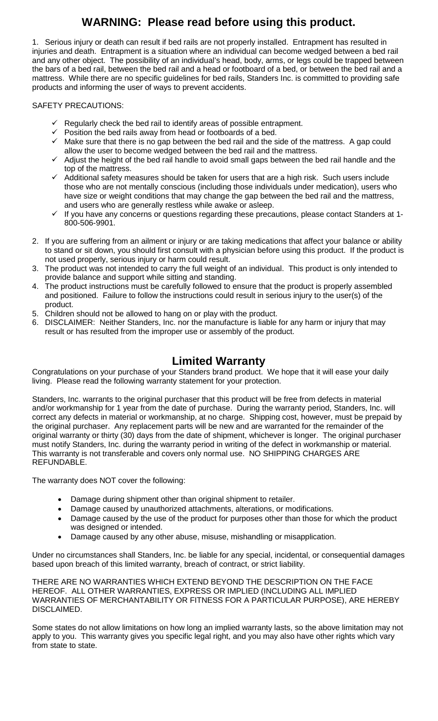## **WARNING: Please read before using this product.**

1. Serious injury or death can result if bed rails are not properly installed. Entrapment has resulted in injuries and death. Entrapment is a situation where an individual can become wedged between a bed rail and any other object. The possibility of an individual's head, body, arms, or legs could be trapped between the bars of a bed rail, between the bed rail and a head or footboard of a bed, or between the bed rail and a mattress. While there are no specific guidelines for bed rails, Standers Inc. is committed to providing safe products and informing the user of ways to prevent accidents.

SAFETY PRECAUTIONS:

- $\checkmark$  Regularly check the bed rail to identify areas of possible entrapment.
- $\checkmark$  Position the bed rails away from head or footboards of a bed.
- $\checkmark$  Make sure that there is no gap between the bed rail and the side of the mattress. A gap could allow the user to become wedged between the bed rail and the mattress.
- $\checkmark$  Adjust the height of the bed rail handle to avoid small gaps between the bed rail handle and the top of the mattress.
- Additional safety measures should be taken for users that are a high risk. Such users include those who are not mentally conscious (including those individuals under medication), users who have size or weight conditions that may change the gap between the bed rail and the mattress, and users who are generally restless while awake or asleep.
- $\checkmark$  If you have any concerns or questions regarding these precautions, please contact Standers at 1-800-506-9901.
- 2. If you are suffering from an ailment or injury or are taking medications that affect your balance or ability to stand or sit down, you should first consult with a physician before using this product. If the product is not used properly, serious injury or harm could result.
- 3. The product was not intended to carry the full weight of an individual. This product is only intended to provide balance and support while sitting and standing.
- 4. The product instructions must be carefully followed to ensure that the product is properly assembled and positioned. Failure to follow the instructions could result in serious injury to the user(s) of the product.
- 5. Children should not be allowed to hang on or play with the product.
- 6. DISCLAIMER: Neither Standers, Inc. nor the manufacture is liable for any harm or injury that may result or has resulted from the improper use or assembly of the product.

## **Limited Warranty**

Congratulations on your purchase of your Standers brand product. We hope that it will ease your daily living. Please read the following warranty statement for your protection.

Standers, Inc. warrants to the original purchaser that this product will be free from defects in material and/or workmanship for 1 year from the date of purchase. During the warranty period, Standers, Inc. will correct any defects in material or workmanship, at no charge. Shipping cost, however, must be prepaid by the original purchaser. Any replacement parts will be new and are warranted for the remainder of the original warranty or thirty (30) days from the date of shipment, whichever is longer. The original purchaser must notify Standers, Inc. during the warranty period in writing of the defect in workmanship or material. This warranty is not transferable and covers only normal use. NO SHIPPING CHARGES ARE REFUNDABLE.

The warranty does NOT cover the following:

- Damage during shipment other than original shipment to retailer.
- Damage caused by unauthorized attachments, alterations, or modifications.
- Damage caused by the use of the product for purposes other than those for which the product was designed or intended.
- Damage caused by any other abuse, misuse, mishandling or misapplication.

Under no circumstances shall Standers, Inc. be liable for any special, incidental, or consequential damages based upon breach of this limited warranty, breach of contract, or strict liability.

THERE ARE NO WARRANTIES WHICH EXTEND BEYOND THE DESCRIPTION ON THE FACE HEREOF. ALL OTHER WARRANTIES, EXPRESS OR IMPLIED (INCLUDING ALL IMPLIED WARRANTIES OF MERCHANTABILITY OR FITNESS FOR A PARTICULAR PURPOSE), ARE HEREBY DISCLAIMED.

Some states do not allow limitations on how long an implied warranty lasts, so the above limitation may not apply to you. This warranty gives you specific legal right, and you may also have other rights which vary from state to state.